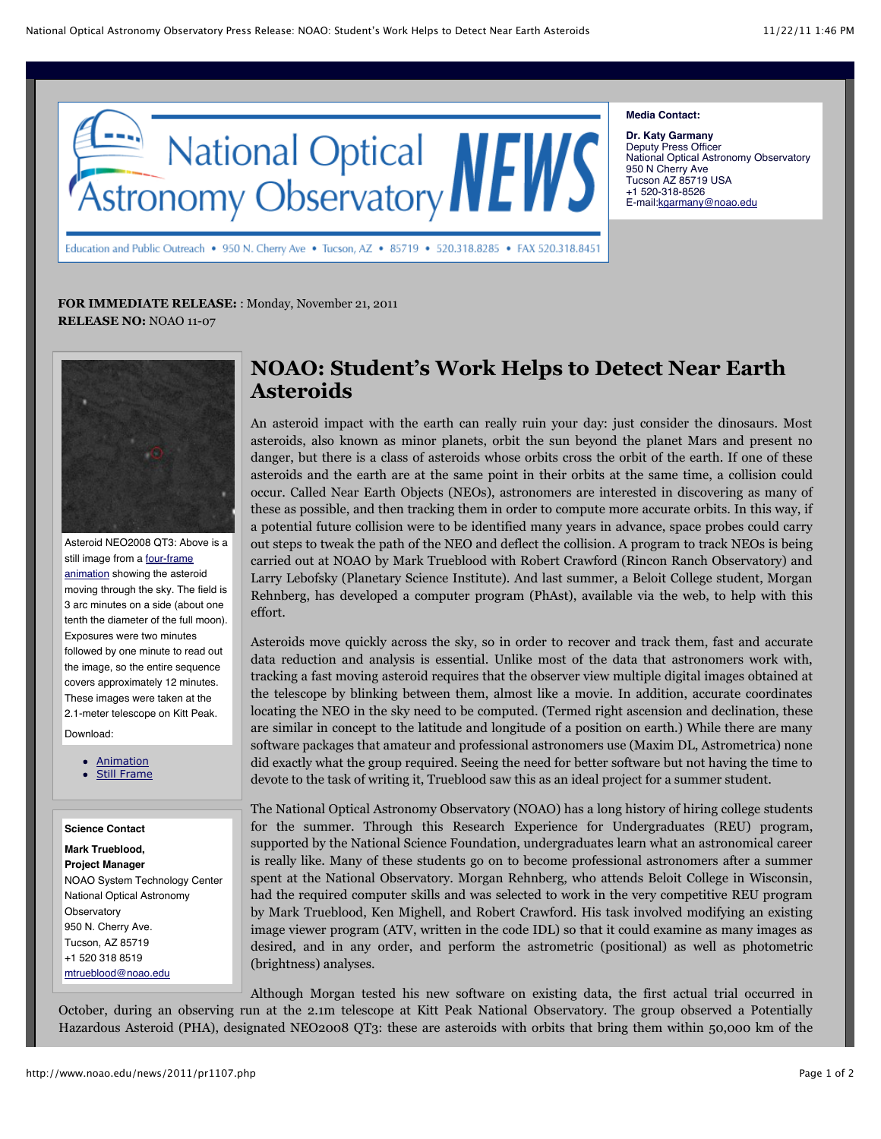

Education and Public Outreach • 950 N. Cherry Ave • Tucson, AZ • 85719 • 520.318.8285 • FAX 520.318.8451

## **Media Contact:**

**Dr. Katy Garmany** Deputy Press Officer National Optical Astronomy Observatory 950 N Cherry Ave Tucson AZ 85719 USA +1 520-318-8526 E-mail:kgarmany@noao.edu

**FOR IMMEDIATE RELEASE:** : Monday, November 21, 2011 **RELEASE NO:** NOAO 11-07



Asteroid NEO2008 QT3: Above is a still image from a four-frame animation showing the asteroid moving through the sky. The field is 3 arc minutes on a side (about one tenth the diameter of the full moon). Exposures were two minutes followed by one minute to read out the image, so the entire sequence covers approximately 12 minutes. These images were taken at the 2.1-meter telescope on Kitt Peak.

Download:

• **Animation** 

Still Frame

## **Science Contact**

**Mark Trueblood, Project Manager** NOAO System Technology Center National Optical Astronomy **Observatory** 950 N. Cherry Ave. Tucson, AZ 85719 +1 520 318 8519 mtrueblood@noao.edu

## **NOAO: Student's Work Helps to Detect Near Earth Asteroids**

An asteroid impact with the earth can really ruin your day: just consider the dinosaurs. Most asteroids, also known as minor planets, orbit the sun beyond the planet Mars and present no danger, but there is a class of asteroids whose orbits cross the orbit of the earth. If one of these asteroids and the earth are at the same point in their orbits at the same time, a collision could occur. Called Near Earth Objects (NEOs), astronomers are interested in discovering as many of these as possible, and then tracking them in order to compute more accurate orbits. In this way, if a potential future collision were to be identified many years in advance, space probes could carry out steps to tweak the path of the NEO and deflect the collision. A program to track NEOs is being carried out at NOAO by Mark Trueblood with Robert Crawford (Rincon Ranch Observatory) and Larry Lebofsky (Planetary Science Institute). And last summer, a Beloit College student, Morgan Rehnberg, has developed a computer program (PhAst), available via the web, to help with this effort.

Asteroids move quickly across the sky, so in order to recover and track them, fast and accurate data reduction and analysis is essential. Unlike most of the data that astronomers work with, tracking a fast moving asteroid requires that the observer view multiple digital images obtained at the telescope by blinking between them, almost like a movie. In addition, accurate coordinates locating the NEO in the sky need to be computed. (Termed right ascension and declination, these are similar in concept to the latitude and longitude of a position on earth.) While there are many software packages that amateur and professional astronomers use (Maxim DL, Astrometrica) none did exactly what the group required. Seeing the need for better software but not having the time to devote to the task of writing it, Trueblood saw this as an ideal project for a summer student.

The National Optical Astronomy Observatory (NOAO) has a long history of hiring college students for the summer. Through this Research Experience for Undergraduates (REU) program, supported by the National Science Foundation, undergraduates learn what an astronomical career is really like. Many of these students go on to become professional astronomers after a summer spent at the National Observatory. Morgan Rehnberg, who attends Beloit College in Wisconsin, had the required computer skills and was selected to work in the very competitive REU program by Mark Trueblood, Ken Mighell, and Robert Crawford. His task involved modifying an existing image viewer program (ATV, written in the code IDL) so that it could examine as many images as desired, and in any order, and perform the astrometric (positional) as well as photometric (brightness) analyses.

Although Morgan tested his new software on existing data, the first actual trial occurred in October, during an observing run at the 2.1m telescope at Kitt Peak National Observatory. The group observed a Potentially Hazardous Asteroid (PHA), designated NEO2008 QT3: these are asteroids with orbits that bring them within 50,000 km of the